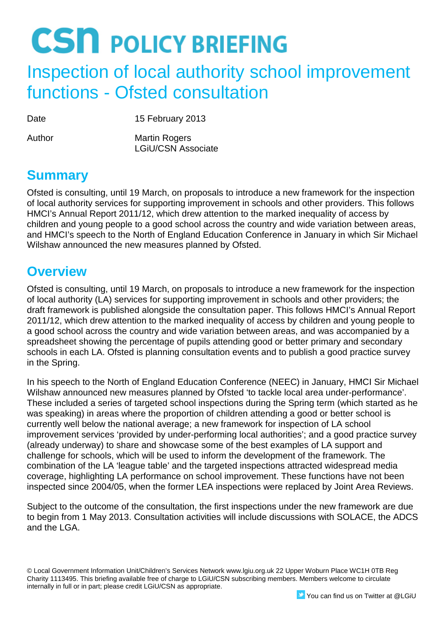### Inspection of local authority school improvement functions - Ofsted consultation

Date 15 February 2013

Author Martin Rogers LGiU/CSN Associate

### **Summary**

Ofsted is consulting, until 19 March, on proposals to introduce a new framework for the inspection of local authority services for supporting improvement in schools and other providers. This follows HMCI's Annual Report 2011/12, which drew attention to the marked inequality of access by children and young people to a good school across the country and wide variation between areas, and HMCI's speech to the North of England Education Conference in January in which Sir Michael Wilshaw announced the new measures planned by Ofsted.

### **Overview**

Ofsted is consulting, until 19 March, on proposals to introduce a new framework for the inspection of local authority (LA) services for supporting improvement in schools and other providers; the draft framework is published alongside the consultation paper. This follows HMCI's Annual Report 2011/12, which drew attention to the marked inequality of access by children and young people to a good school across the country and wide variation between areas, and was accompanied by a spreadsheet showing the percentage of pupils attending good or better primary and secondary schools in each LA. Ofsted is planning consultation events and to publish a good practice survey in the Spring.

In his speech to the North of England Education Conference (NEEC) in January, HMCI Sir Michael Wilshaw announced new measures planned by Ofsted 'to tackle local area under-performance'. These included a series of targeted school inspections during the Spring term (which started as he was speaking) in areas where the proportion of children attending a good or better school is currently well below the national average; a new framework for inspection of LA school improvement services 'provided by under-performing local authorities'; and a good practice survey (already underway) to share and showcase some of the best examples of LA support and challenge for schools, which will be used to inform the development of the framework. The combination of the LA 'league table' and the targeted inspections attracted widespread media coverage, highlighting LA performance on school improvement. These functions have not been inspected since 2004/05, when the former LEA inspections were replaced by Joint Area Reviews.

Subject to the outcome of the consultation, the first inspections under the new framework are due to begin from 1 May 2013. Consultation activities will include discussions with SOLACE, the ADCS and the LGA.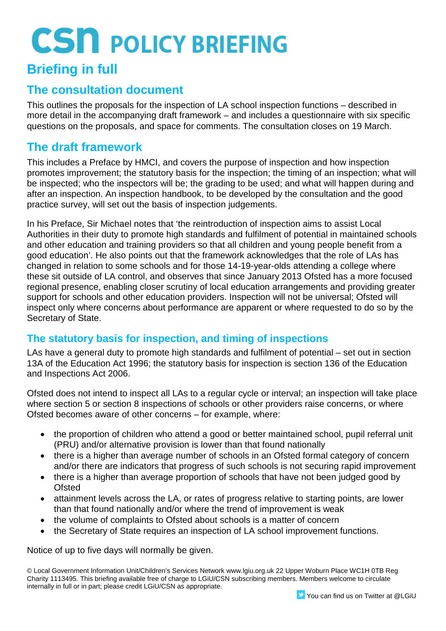### **Briefing in full**

#### **The consultation document**

This outlines the proposals for the inspection of LA school inspection functions – described in more detail in the accompanying draft framework – and includes a questionnaire with six specific questions on the proposals, and space for comments. The consultation closes on 19 March.

#### **The draft framework**

This includes a Preface by HMCI, and covers the purpose of inspection and how inspection promotes improvement; the statutory basis for the inspection; the timing of an inspection; what will be inspected; who the inspectors will be; the grading to be used; and what will happen during and after an inspection. An inspection handbook, to be developed by the consultation and the good practice survey, will set out the basis of inspection judgements.

In his Preface, Sir Michael notes that 'the reintroduction of inspection aims to assist Local Authorities in their duty to promote high standards and fulfilment of potential in maintained schools and other education and training providers so that all children and young people benefit from a good education'. He also points out that the framework acknowledges that the role of LAs has changed in relation to some schools and for those 14-19-year-olds attending a college where these sit outside of LA control, and observes that since January 2013 Ofsted has a more focused regional presence, enabling closer scrutiny of local education arrangements and providing greater support for schools and other education providers. Inspection will not be universal; Ofsted will inspect only where concerns about performance are apparent or where requested to do so by the Secretary of State.

#### **The statutory basis for inspection, and timing of inspections**

LAs have a general duty to promote high standards and fulfilment of potential – set out in section 13A of the Education Act 1996; the statutory basis for inspection is section 136 of the Education and Inspections Act 2006.

Ofsted does not intend to inspect all LAs to a regular cycle or interval; an inspection will take place where section 5 or section 8 inspections of schools or other providers raise concerns, or where Ofsted becomes aware of other concerns – for example, where:

- the proportion of children who attend a good or better maintained school, pupil referral unit (PRU) and/or alternative provision is lower than that found nationally
- there is a higher than average number of schools in an Ofsted formal category of concern and/or there are indicators that progress of such schools is not securing rapid improvement
- there is a higher than average proportion of schools that have not been judged good by **Ofsted**
- attainment levels across the LA, or rates of progress relative to starting points, are lower than that found nationally and/or where the trend of improvement is weak
- the volume of complaints to Ofsted about schools is a matter of concern
- the Secretary of State requires an inspection of LA school improvement functions.

Notice of up to five days will normally be given.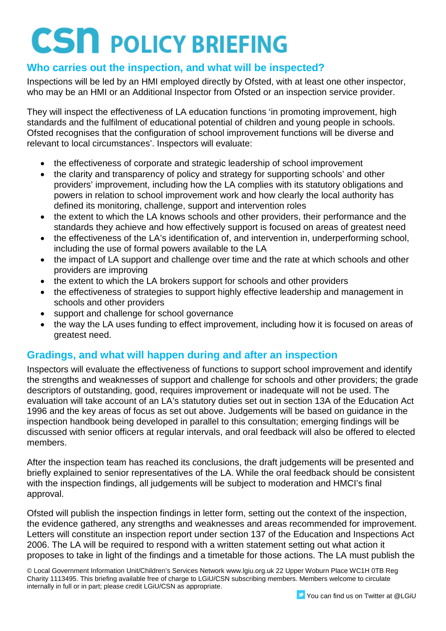#### **Who carries out the inspection, and what will be inspected?**

Inspections will be led by an HMI employed directly by Ofsted, with at least one other inspector, who may be an HMI or an Additional Inspector from Ofsted or an inspection service provider.

They will inspect the effectiveness of LA education functions 'in promoting improvement, high standards and the fulfilment of educational potential of children and young people in schools. Ofsted recognises that the configuration of school improvement functions will be diverse and relevant to local circumstances'. Inspectors will evaluate:

- the effectiveness of corporate and strategic leadership of school improvement
- the clarity and transparency of policy and strategy for supporting schools' and other providers' improvement, including how the LA complies with its statutory obligations and powers in relation to school improvement work and how clearly the local authority has defined its monitoring, challenge, support and intervention roles
- the extent to which the LA knows schools and other providers, their performance and the standards they achieve and how effectively support is focused on areas of greatest need
- the effectiveness of the LA's identification of, and intervention in, underperforming school, including the use of formal powers available to the LA
- the impact of LA support and challenge over time and the rate at which schools and other providers are improving
- the extent to which the LA brokers support for schools and other providers
- the effectiveness of strategies to support highly effective leadership and management in schools and other providers
- support and challenge for school governance
- the way the LA uses funding to effect improvement, including how it is focused on areas of greatest need.

#### **Gradings, and what will happen during and after an inspection**

Inspectors will evaluate the effectiveness of functions to support school improvement and identify the strengths and weaknesses of support and challenge for schools and other providers; the grade descriptors of outstanding, good, requires improvement or inadequate will not be used. The evaluation will take account of an LA's statutory duties set out in section 13A of the Education Act 1996 and the key areas of focus as set out above. Judgements will be based on guidance in the inspection handbook being developed in parallel to this consultation; emerging findings will be discussed with senior officers at regular intervals, and oral feedback will also be offered to elected members.

After the inspection team has reached its conclusions, the draft judgements will be presented and briefly explained to senior representatives of the LA. While the oral feedback should be consistent with the inspection findings, all judgements will be subject to moderation and HMCI's final approval.

Ofsted will publish the inspection findings in letter form, setting out the context of the inspection, the evidence gathered, any strengths and weaknesses and areas recommended for improvement. Letters will constitute an inspection report under section 137 of the Education and Inspections Act 2006. The LA will be required to respond with a written statement setting out what action it proposes to take in light of the findings and a timetable for those actions. The LA must publish the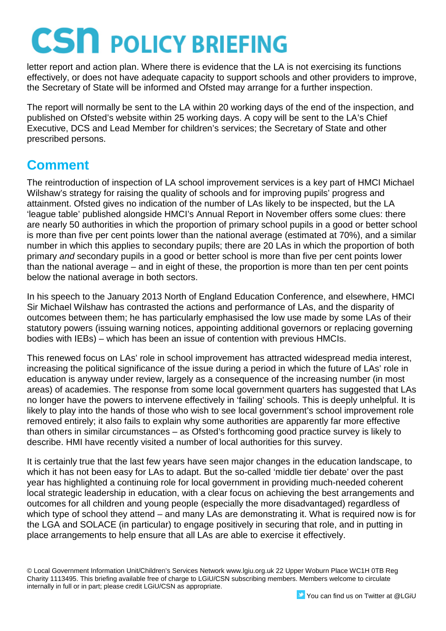letter report and action plan. Where there is evidence that the LA is not exercising its functions effectively, or does not have adequate capacity to support schools and other providers to improve, the Secretary of State will be informed and Ofsted may arrange for a further inspection.

The report will normally be sent to the LA within 20 working days of the end of the inspection, and published on Ofsted's website within 25 working days. A copy will be sent to the LA's Chief Executive, DCS and Lead Member for children's services; the Secretary of State and other prescribed persons.

### **Comment**

The reintroduction of inspection of LA school improvement services is a key part of HMCI Michael Wilshaw's strategy for raising the quality of schools and for improving pupils' progress and attainment. Ofsted gives no indication of the number of LAs likely to be inspected, but the LA 'league table' published alongside HMCI's Annual Report in November offers some clues: there are nearly 50 authorities in which the proportion of primary school pupils in a good or better school is more than five per cent points lower than the national average (estimated at 70%), and a similar number in which this applies to secondary pupils; there are 20 LAs in which the proportion of both primary *and* secondary pupils in a good or better school is more than five per cent points lower than the national average – and in eight of these, the proportion is more than ten per cent points below the national average in both sectors.

In his speech to the January 2013 North of England Education Conference, and elsewhere, HMCI Sir Michael Wilshaw has contrasted the actions and performance of LAs, and the disparity of outcomes between them; he has particularly emphasised the low use made by some LAs of their statutory powers (issuing warning notices, appointing additional governors or replacing governing bodies with IEBs) – which has been an issue of contention with previous HMCIs.

This renewed focus on LAs' role in school improvement has attracted widespread media interest, increasing the political significance of the issue during a period in which the future of LAs' role in education is anyway under review, largely as a consequence of the increasing number (in most areas) of academies. The response from some local government quarters has suggested that LAs no longer have the powers to intervene effectively in 'failing' schools. This is deeply unhelpful. It is likely to play into the hands of those who wish to see local government's school improvement role removed entirely; it also fails to explain why some authorities are apparently far more effective than others in similar circumstances – as Ofsted's forthcoming good practice survey is likely to describe. HMI have recently visited a number of local authorities for this survey.

It is certainly true that the last few years have seen major changes in the education landscape, to which it has not been easy for LAs to adapt. But the so-called 'middle tier debate' over the past year has highlighted a continuing role for local government in providing much-needed coherent local strategic leadership in education, with a clear focus on achieving the best arrangements and outcomes for all children and young people (especially the more disadvantaged) regardless of which type of school they attend – and many LAs are demonstrating it. What is required now is for the LGA and SOLACE (in particular) to engage positively in securing that role, and in putting in place arrangements to help ensure that all LAs are able to exercise it effectively.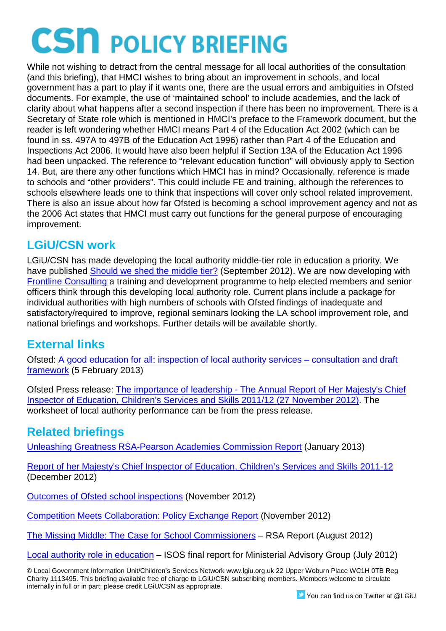While not wishing to detract from the central message for all local authorities of the consultation (and this briefing), that HMCI wishes to bring about an improvement in schools, and local government has a part to play if it wants one, there are the usual errors and ambiguities in Ofsted documents. For example, the use of 'maintained school' to include academies, and the lack of clarity about what happens after a second inspection if there has been no improvement. There is a Secretary of State role which is mentioned in HMCI's preface to the Framework document, but the reader is left wondering whether HMCI means Part 4 of the Education Act 2002 (which can be found in ss. 497A to 497B of the Education Act 1996) rather than Part 4 of the Education and Inspections Act 2006. It would have also been helpful if Section 13A of the Education Act 1996 had been unpacked. The reference to "relevant education function" will obviously apply to Section 14. But, are there any other functions which HMCI has in mind? Occasionally, reference is made to schools and "other providers". This could include FE and training, although the references to schools elsewhere leads one to think that inspections will cover only school related improvement. There is also an issue about how far Ofsted is becoming a school improvement agency and not as the 2006 Act states that HMCI must carry out functions for the general purpose of encouraging improvement.

### **LGiU/CSN work**

LGiU/CSN has made developing the local authority middle-tier role in education a priority. We have published [Should we shed the middle tier?](http://www.lgiu.org.uk/should-we-shed-the-middle-tier/) (September 2012). We are now developing with [Frontline Consulting](http://www.frontlineconsulting.co.uk/) a training and development programme to help elected members and senior officers think through this developing local authority role. Current plans include a package for individual authorities with high numbers of schools with Ofsted findings of inadequate and satisfactory/required to improve, regional seminars looking the LA school improvement role, and national briefings and workshops. Further details will be available shortly.

#### **External links**

Ofsted: [A good education for all: inspection of local authority services –](http://www.ofsted.gov.uk/resources/good-education-for-all-inspection-of-local-authority-services) consultation and draft [framework](http://www.ofsted.gov.uk/resources/good-education-for-all-inspection-of-local-authority-services) (5 February 2013)

Ofsted Press release: The importance of leadership - [The Annual Report of Her Majesty's Chief](http://www.ofsted.gov.uk/news/importance-of-leadership-annual-report-of-her-majestys-chief-inspector-of-education-childrens-servic-0)  [Inspector of Education, Children's Services and Skills 2011/12](http://www.ofsted.gov.uk/news/importance-of-leadership-annual-report-of-her-majestys-chief-inspector-of-education-childrens-servic-0) (27 November 2012). The worksheet of local authority performance can be from the press release.

#### **Related briefings**

[Unleashing Greatness RSA-Pearson Academies Commission Report](http://www.lgiu.org.uk/briefing/unleashing-greatness-rsa-pearson-academies-commission-report/) (January 2013)

[Report of her Majesty's Chief Inspector of Education, Children's Services and Skills 2011-12](http://www.lgiu.org.uk/briefing/report-of-her-majestys-chief-inspector-of-education-childrens-services-and-skills-2011-12/?signedin=true) (December 2012)

[Outcomes of Ofsted school inspections](http://www.lgiu.org.uk/briefing/outcomes-of-ofsted-school-inspections/) (November 2012)

[Competition Meets Collaboration: Policy Exchange Report](http://www.lgiu.org.uk/briefing/competition-meets-collaboration-policy-exchange-report/) (November 2012)

[The Missing Middle: The Case for School Commissioners](http://www.lgiu.org.uk/briefing/the-missing-middle-the-case-for-school-commissioners-rsa-report/) – RSA Report (August 2012)

[Local authority role in education](http://www.lgiu.org.uk/briefing/local-authority-role-in-education-final-report-from-the-isos-partnership-for-the-ministerial-advisory-group/) – ISOS final report for Ministerial Advisory Group (July 2012)